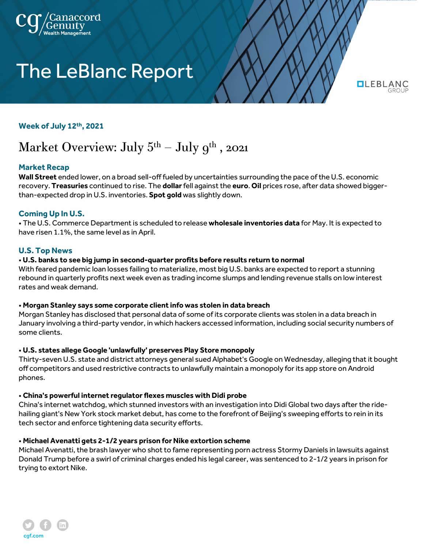

# **The LeBlanc Report**

**OLEBLANG** 

#### **Week of July 12th, 2021**

# Market Overview: July  $5<sup>th</sup>$  – July  $9<sup>th</sup>$ , 2021

# **Market Recap**

**Wall Street** ended lower, on a broad sell-off fueled by uncertainties surrounding the pace of the U.S. economic recovery. **Treasuries** continued to rise. The **dollar**fell against the **euro**. **Oil** prices rose, after data showed biggerthan-expected drop in U.S. inventories. **Spot gold** was slightly down.

# **Coming Up In U.S.**

• The U.S. Commerce Department is scheduled to release **wholesale inventories data** for May. It is expected to have risen 1.1%, the same level as in April.

#### **U.S. Top News**

#### • **U.S. banks to see big jump in second-quarter profits before results return to normal**

With feared pandemic loan losses failing to materialize, most big U.S. banks are expected to report a stunning rebound in quarterly profits next week even as trading income slumps and lending revenue stalls on low interest rates and weak demand.

#### • **Morgan Stanley says some corporate client info was stolen in data breach**

Morgan Stanley has disclosed that personal data of some of its corporate clients was stolen in a data breach in January involving a third-party vendor, in which hackers accessed information, including social security numbers of some clients.

#### • **U.S. states allege Google 'unlawfully' preserves Play Store monopoly**

Thirty-seven U.S. state and district attorneys general sued Alphabet's Google on Wednesday, alleging that it bought off competitors and used restrictive contracts to unlawfully maintain a monopoly for its app store on Android phones.

#### • **China's powerful internet regulator flexes muscles with Didi probe**

China's internet watchdog, which stunned investors with an investigation into Didi Global two days after the ridehailing giant's New York stock market debut, has come to the forefront of Beijing's sweeping efforts to rein in its tech sector and enforce tightening data security efforts.

#### • **Michael Avenatti gets 2-1/2 years prison for Nike extortion scheme**

Michael Avenatti, the brash lawyer who shot to fame representing porn actress Stormy Daniels in lawsuits against Donald Trump before a swirl of criminal charges ended his legal career, was sentenced to 2-1/2 years in prison for trying to extort Nike.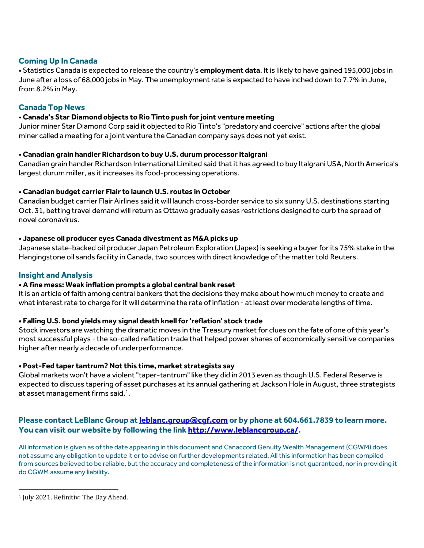# **Coming Up In Canada**

• Statistics Canada is expected to release the country's **employment data**. It is likely to have gained 195,000 jobs in June after a loss of 68,000 jobs in May. The unemployment rate is expected to have inched down to 7.7% in June, from 8.2% in May.

# **Canada Top News**

### • **Canada's Star Diamond objects to Rio Tinto push for joint venture meeting**

Junior miner Star Diamond Corp said it objected to Rio Tinto's "predatory and coercive" actions after the global miner called a meeting for a joint venture the Canadian company says does not yet exist.

#### • **Canadian grain handler Richardson to buy U.S. durum processor Italgrani**

Canadian grain handler Richardson International Limited said that it has agreed to buy Italgrani USA, North America's largest durum miller, as it increases its food-processing operations.

#### • **Canadian budget carrier Flair to launch U.S. routes in October**

Canadian budget carrier Flair Airlines said it will launch cross-border service to six sunny U.S. destinations starting Oct. 31, betting travel demand will return as Ottawa gradually eases restrictions designed to curb the spread of novel coronavirus.

#### • **Japanese oil producer eyes Canada divestment as M&A picks up**

Japanese state-backed oil producer Japan Petroleum Exploration (Japex) is seeking a buyer for its 75% stake in the Hangingstone oil sands facility in Canada, two sources with direct knowledge of the matter told Reuters.

#### **Insight and Analysis**

#### **• A fine mess: Weak inflation prompts a global central bank reset**

It is an article of faith among central bankers that the decisions they make about how much money to create and what interest rate to charge for it will determine the rate of inflation - at least over moderate lengths of time.

#### **• Falling U.S. bond yields may signal death knell for 'reflation' stock trade**

Stock investors are watching the dramatic moves in the Treasury market for clues on the fate of one of this year's most successful plays - the so-called reflation trade that helped power shares of economically sensitive companies higher after nearly a decade of underperformance.

#### **• Post-Fed taper tantrum? Not this time, market strategists say**

Global markets won't have a violent "taper-tantrum" like they did in 2013 even as though U.S. Federal Reserve is expected to discuss tapering of asset purchases at its annual gathering at Jackson Hole in August, three strategists at asset management firms said.<sup>[1](#page-1-0)</sup>.

# **Please contact LeBlanc Group a[t leblanc.group@cgf.com](mailto:leblanc.group@cgf.com) or by phone at 604.661.7839 to learn more. You can visit our website by following the lin[k http://www.leblancgroup.ca/.](http://www.leblancgroup.ca/)**

All information is given as of the date appearing in this document and Canaccord Genuity Wealth Management (CGWM) does not assume any obligation to update it or to advise on further developments related. All this information has been compiled from sources believed to be reliable, but the accuracy and completeness of the information is not guaranteed, nor in providing it do CGWM assume any liability.

<span id="page-1-0"></span><sup>&</sup>lt;sup>1</sup> July 2021. Refinitiv: The Day Ahead.